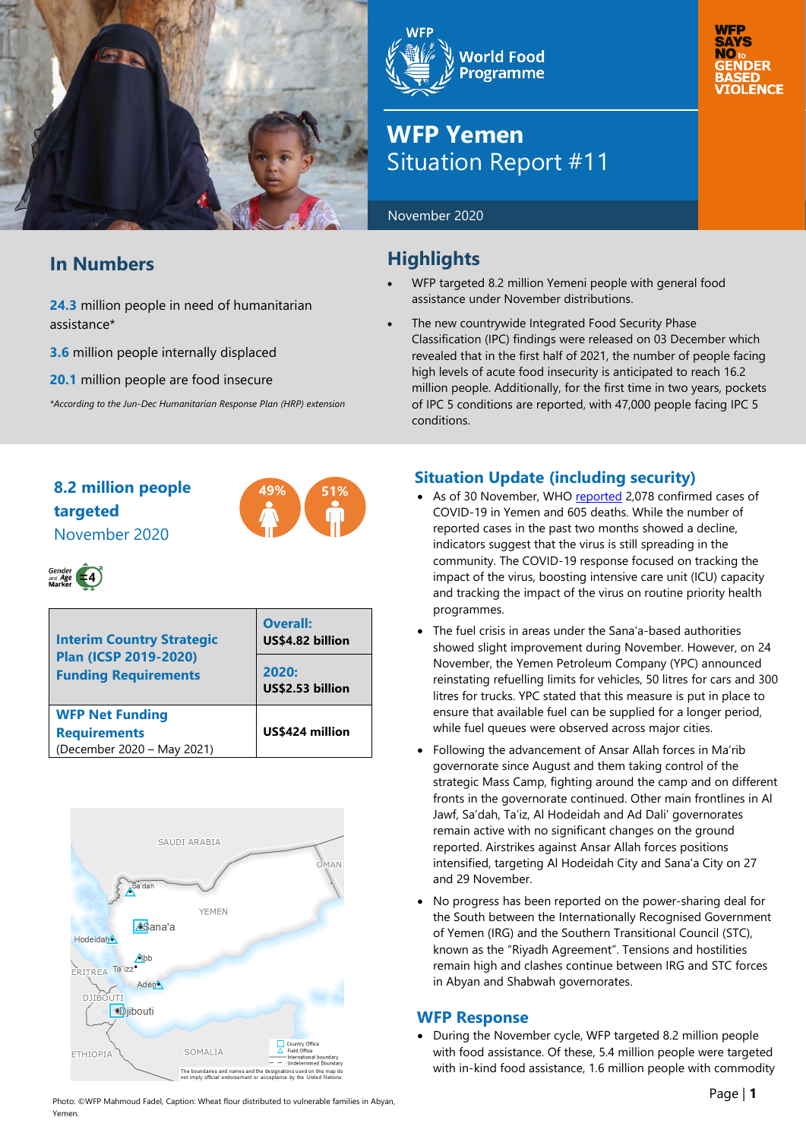

## **In Numbers**

**24.3** million people in need of humanitarian assistance\*

**3.6** million people internally displaced

**20.1** million people are food insecure

*\*According to the Jun-Dec Humanitarian Response Plan (HRP) extension*

# **World Food Programme**

## **WFP Yemen** Situation Report #11

November 2020

## **Highlights**

- WFP targeted 8.2 million Yemeni people with general food assistance under November distributions.
- The new countrywide Integrated Food Security Phase Classification (IPC) findings were released on 03 December which revealed that in the first half of 2021, the number of people facing high levels of acute food insecurity is anticipated to reach 16.2 million people. Additionally, for the first time in two years, pockets of IPC 5 conditions are reported, with 47,000 people facing IPC 5 conditions.

**NO** 

## **8.2 million people 49% 51% targeted** November 2020





| <b>Interim Country Strategic</b><br><b>Plan (ICSP 2019-2020)</b><br><b>Funding Requirements</b> | <b>Overall:</b><br>US\$4.82 billion<br>2020:<br>US\$2.53 billion |
|-------------------------------------------------------------------------------------------------|------------------------------------------------------------------|
| <b>WFP Net Funding</b><br><b>Requirements</b><br>(December 2020 - May 2021)                     | US\$424 million                                                  |



## **Situation Update (including security)**

- As of 30 November, WHO [reported](https://covid19.who.int/region/emro/country/ye) 2,078 confirmed cases of COVID-19 in Yemen and 605 deaths. While the number of reported cases in the past two months showed a decline, indicators suggest that the virus is still spreading in the community. The COVID-19 response focused on tracking the impact of the virus, boosting intensive care unit (ICU) capacity and tracking the impact of the virus on routine priority health programmes.
- The fuel crisis in areas under the Sana'a-based authorities showed slight improvement during November. However, on 24 November, the Yemen Petroleum Company (YPC) announced reinstating refuelling limits for vehicles, 50 litres for cars and 300 litres for trucks. YPC stated that this measure is put in place to ensure that available fuel can be supplied for a longer period, while fuel queues were observed across major cities.
- Following the advancement of Ansar Allah forces in Ma'rib governorate since August and them taking control of the strategic Mass Camp, fighting around the camp and on different fronts in the governorate continued. Other main frontlines in Al Jawf, Sa'dah, Ta'iz, Al Hodeidah and Ad Dali' governorates remain active with no significant changes on the ground reported. Airstrikes against Ansar Allah forces positions intensified, targeting Al Hodeidah City and Sana'a City on 27 and 29 November.
- No progress has been reported on the power-sharing deal for the South between the Internationally Recognised Government of Yemen (IRG) and the Southern Transitional Council (STC), known as the "Riyadh Agreement". Tensions and hostilities remain high and clashes continue between IRG and STC forces in Abyan and Shabwah governorates.

## **WFP Response**

• During the November cycle, WFP targeted 8.2 million people with food assistance. Of these, 5.4 million people were targeted with in-kind food assistance, 1.6 million people with commodity

Photo: ©WFP Mahmoud Fadel, Caption: Wheat flour distributed to vulnerable families in Abyan, Yemen.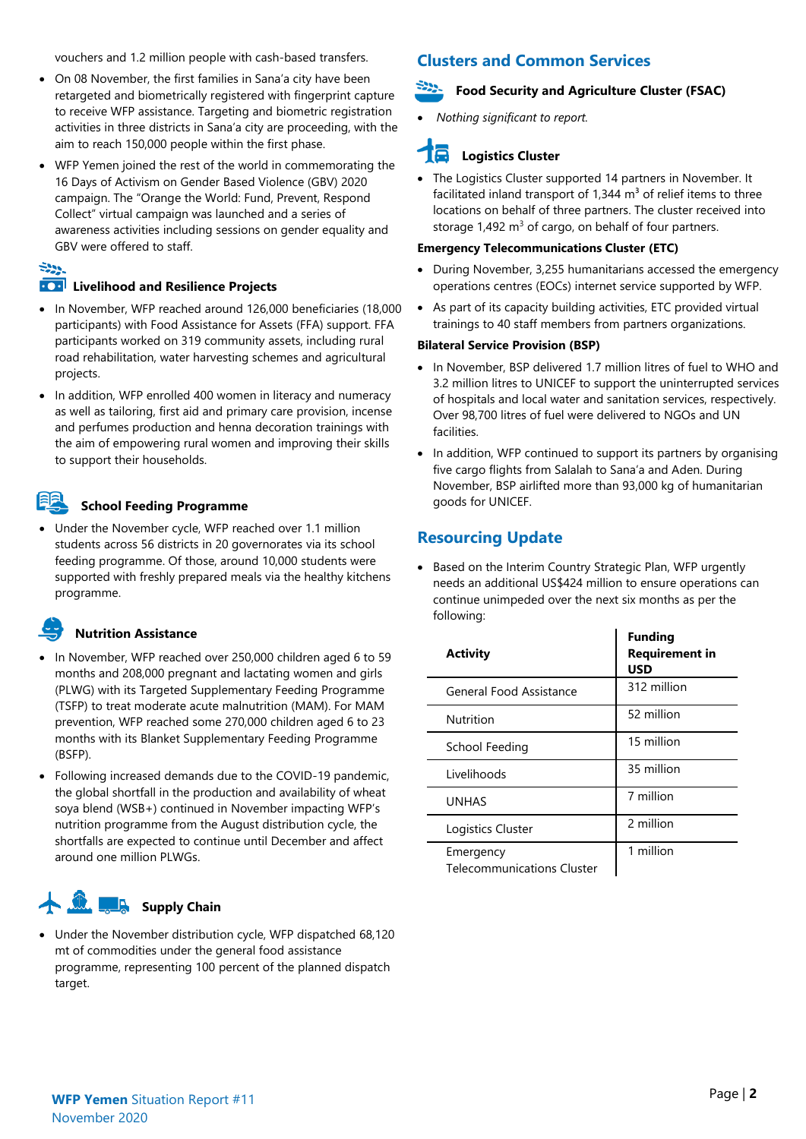vouchers and 1.2 million people with cash-based transfers.

- On 08 November, the first families in Sana'a city have been retargeted and biometrically registered with fingerprint capture to receive WFP assistance. Targeting and biometric registration activities in three districts in Sana'a city are proceeding, with the aim to reach 150,000 people within the first phase.
- WFP Yemen joined the rest of the world in commemorating the 16 Days of Activism on Gender Based Violence (GBV) 2020 campaign. The "Orange the World: Fund, Prevent, Respond Collect" virtual campaign was launched and a series of awareness activities including sessions on gender equality and GBV were offered to staff.

## $522$

#### **100 Livelihood and Resilience Projects**

- In November, WFP reached around 126,000 beneficiaries (18,000 participants) with Food Assistance for Assets (FFA) support. FFA participants worked on 319 community assets, including rural road rehabilitation, water harvesting schemes and agricultural projects.
- In addition, WFP enrolled 400 women in literacy and numeracy as well as tailoring, first aid and primary care provision, incense and perfumes production and henna decoration trainings with the aim of empowering rural women and improving their skills to support their households.

## **School Feeding Programme**

• Under the November cycle, WFP reached over 1.1 million students across 56 districts in 20 governorates via its school feeding programme. Of those, around 10,000 students were supported with freshly prepared meals via the healthy kitchens programme.

## **Nutrition Assistance**

- In November, WFP reached over 250,000 children aged 6 to 59 months and 208,000 pregnant and lactating women and girls (PLWG) with its Targeted Supplementary Feeding Programme (TSFP) to treat moderate acute malnutrition (MAM). For MAM prevention, WFP reached some 270,000 children aged 6 to 23 months with its Blanket Supplementary Feeding Programme (BSFP).
- Following increased demands due to the COVID-19 pandemic, the global shortfall in the production and availability of wheat soya blend (WSB+) continued in November impacting WFP's nutrition programme from the August distribution cycle, the shortfalls are expected to continue until December and affect around one million PLWGs.

#### <u>La</u> **Supply Chain**

Under the November distribution cycle, WFP dispatched 68,120 mt of commodities under the general food assistance programme, representing 100 percent of the planned dispatch target.

## **Clusters and Common Services**

#### **Food Security and Agriculture Cluster (FSAC)**

• *Nothing significant to report.*

## **Logistics Cluster**

The Logistics Cluster supported 14 partners in November. It facilitated inland transport of  $1,344$  m<sup>3</sup> of relief items to three locations on behalf of three partners. The cluster received into storage  $1,492$  m<sup>3</sup> of cargo, on behalf of four partners.

#### **Emergency Telecommunications Cluster (ETC)**

- During November, 3,255 humanitarians accessed the emergency operations centres (EOCs) internet service supported by WFP.
- As part of its capacity building activities, ETC provided virtual trainings to 40 staff members from partners organizations.

#### **Bilateral Service Provision (BSP)**

- In November, BSP delivered 1.7 million litres of fuel to WHO and 3.2 million litres to UNICEF to support the uninterrupted services of hospitals and local water and sanitation services, respectively. Over 98,700 litres of fuel were delivered to NGOs and UN facilities.
- In addition, WFP continued to support its partners by organising five cargo flights from Salalah to Sana'a and Aden. During November, BSP airlifted more than 93,000 kg of humanitarian goods for UNICEF.

## **Resourcing Update**

• Based on the Interim Country Strategic Plan, WFP urgently needs an additional US\$424 million to ensure operations can continue unimpeded over the next six months as per the following:

| <b>Activity</b>                                | <b>Funding</b><br><b>Requirement in</b><br>USD |
|------------------------------------------------|------------------------------------------------|
| General Food Assistance                        | 312 million                                    |
| Nutrition                                      | 52 million                                     |
| School Feeding                                 | 15 million                                     |
| Livelihoods                                    | 35 million                                     |
| <b>UNHAS</b>                                   | 7 million                                      |
| Logistics Cluster                              | 2 million                                      |
| Emergency<br><b>Telecommunications Cluster</b> | 1 million                                      |